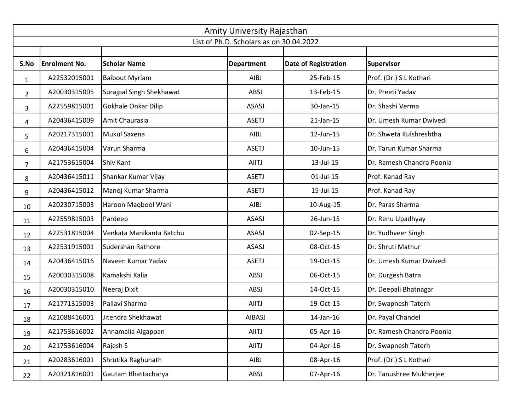|                | Amity University Rajasthan              |                          |                   |                             |                           |  |  |  |  |  |
|----------------|-----------------------------------------|--------------------------|-------------------|-----------------------------|---------------------------|--|--|--|--|--|
|                | List of Ph.D. Scholars as on 30.04.2022 |                          |                   |                             |                           |  |  |  |  |  |
|                |                                         |                          |                   |                             |                           |  |  |  |  |  |
| S.No           | <b>Enrolment No.</b>                    | <b>Scholar Name</b>      | <b>Department</b> | <b>Date of Registration</b> | <b>Supervisor</b>         |  |  |  |  |  |
| $\mathbf{1}$   | A22532015001                            | <b>Baibout Myriam</b>    | <b>AIBJ</b>       | 25-Feb-15                   | Prof. (Dr.) S L Kothari   |  |  |  |  |  |
| $\overline{2}$ | A20030315005                            | Surajpal Singh Shekhawat | ABSJ              | 13-Feb-15                   | Dr. Preeti Yadav          |  |  |  |  |  |
| 3              | A22559815001                            | Gokhale Onkar Dilip      | ASASJ             | 30-Jan-15                   | Dr. Shashi Verma          |  |  |  |  |  |
| 4              | A20436415009                            | Amit Chaurasia           | <b>ASETJ</b>      | 21-Jan-15                   | Dr. Umesh Kumar Dwivedi   |  |  |  |  |  |
| 5              | A20217315001                            | Mukul Saxena             | <b>AIBJ</b>       | 12-Jun-15                   | Dr. Shweta Kulshreshtha   |  |  |  |  |  |
| 6              | A20436415004                            | Varun Sharma             | <b>ASETJ</b>      | 10-Jun-15                   | Dr. Tarun Kumar Sharma    |  |  |  |  |  |
| $\overline{7}$ | A21753615004                            | Shiv Kant                | <b>AIITJ</b>      | 13-Jul-15                   | Dr. Ramesh Chandra Poonia |  |  |  |  |  |
| 8              | A20436415011                            | Shankar Kumar Vijay      | <b>ASETJ</b>      | $01$ -Jul-15                | Prof. Kanad Ray           |  |  |  |  |  |
| 9              | A20436415012                            | Manoj Kumar Sharma       | <b>ASETJ</b>      | 15-Jul-15                   | Prof. Kanad Ray           |  |  |  |  |  |
| 10             | A20230715003                            | Haroon Maqbool Wani      | <b>AIBJ</b>       | 10-Aug-15                   | Dr. Paras Sharma          |  |  |  |  |  |
| 11             | A22559815003                            | Pardeep                  | ASASJ             | 26-Jun-15                   | Dr. Renu Upadhyay         |  |  |  |  |  |
| 12             | A22531815004                            | Venkata Manikanta Batchu | ASASJ             | 02-Sep-15                   | Dr. Yudhveer Singh        |  |  |  |  |  |
| 13             | A22531915001                            | Sudershan Rathore        | ASASJ             | 08-Oct-15                   | Dr. Shruti Mathur         |  |  |  |  |  |
| 14             | A20436415016                            | Naveen Kumar Yadav       | <b>ASETJ</b>      | 19-Oct-15                   | Dr. Umesh Kumar Dwivedi   |  |  |  |  |  |
| 15             | A20030315008                            | Kamakshi Kalia           | ABSJ              | 06-Oct-15                   | Dr. Durgesh Batra         |  |  |  |  |  |
| 16             | A20030315010                            | Neeraj Dixit             | ABSJ              | 14-Oct-15                   | Dr. Deepali Bhatnagar     |  |  |  |  |  |
| 17             | A21771315003                            | Pallavi Sharma           | <b>AIITJ</b>      | 19-Oct-15                   | Dr. Swapnesh Taterh       |  |  |  |  |  |
| 18             | A21088416001                            | Jitendra Shekhawat       | <b>AIBASJ</b>     | 14-Jan-16                   | Dr. Payal Chandel         |  |  |  |  |  |
| 19             | A21753616002                            | Annamalia Algappan       | AIITJ             | 05-Apr-16                   | Dr. Ramesh Chandra Poonia |  |  |  |  |  |
| 20             | A21753616004                            | Rajesh S                 | AIITJ             | 04-Apr-16                   | Dr. Swapnesh Taterh       |  |  |  |  |  |
| 21             | A20283616001                            | Shrutika Raghunath       | AIBJ              | 08-Apr-16                   | Prof. (Dr.) S L Kothari   |  |  |  |  |  |
| 22             | A20321816001                            | Gautam Bhattacharya      | ABSJ              | 07-Apr-16                   | Dr. Tanushree Mukherjee   |  |  |  |  |  |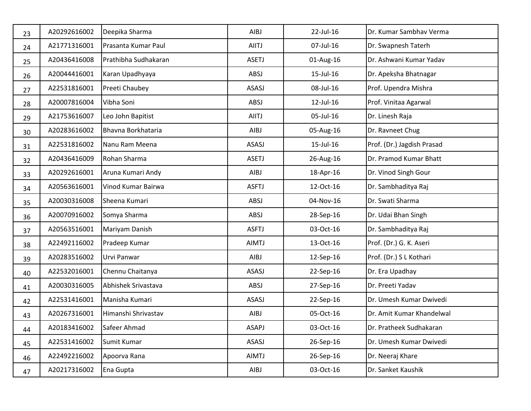| 23 | A20292616002 | Deepika Sharma       | AIBJ         | 22-Jul-16 | Dr. Kumar Sambhav Verma    |
|----|--------------|----------------------|--------------|-----------|----------------------------|
| 24 | A21771316001 | Prasanta Kumar Paul  | <b>AIITJ</b> | 07-Jul-16 | Dr. Swapnesh Taterh        |
| 25 | A20436416008 | Prathibha Sudhakaran | <b>ASETJ</b> | 01-Aug-16 | Dr. Ashwani Kumar Yadav    |
| 26 | A20044416001 | Karan Upadhyaya      | ABSJ         | 15-Jul-16 | Dr. Apeksha Bhatnagar      |
| 27 | A22531816001 | Preeti Chaubey       | ASASJ        | 08-Jul-16 | Prof. Upendra Mishra       |
| 28 | A20007816004 | Vibha Soni           | ABSJ         | 12-Jul-16 | Prof. Vinitaa Agarwal      |
| 29 | A21753616007 | Leo John Bapitist    | <b>AIITJ</b> | 05-Jul-16 | Dr. Linesh Raja            |
| 30 | A20283616002 | Bhavna Borkhataria   | AIBJ         | 05-Aug-16 | Dr. Ravneet Chug           |
| 31 | A22531816002 | Nanu Ram Meena       | ASASJ        | 15-Jul-16 | Prof. (Dr.) Jagdish Prasad |
| 32 | A20436416009 | Rohan Sharma         | <b>ASETJ</b> | 26-Aug-16 | Dr. Pramod Kumar Bhatt     |
| 33 | A20292616001 | Aruna Kumari Andy    | AIBJ         | 18-Apr-16 | Dr. Vinod Singh Gour       |
| 34 | A20563616001 | Vinod Kumar Bairwa   | <b>ASFTJ</b> | 12-Oct-16 | Dr. Sambhaditya Raj        |
| 35 | A20030316008 | Sheena Kumari        | ABSJ         | 04-Nov-16 | Dr. Swati Sharma           |
| 36 | A20070916002 | Somya Sharma         | ABSJ         | 28-Sep-16 | Dr. Udai Bhan Singh        |
| 37 | A20563516001 | Mariyam Danish       | <b>ASFTJ</b> | 03-Oct-16 | Dr. Sambhaditya Raj        |
| 38 | A22492116002 | Pradeep Kumar        | <b>AIMTJ</b> | 13-Oct-16 | Prof. (Dr.) G. K. Aseri    |
| 39 | A20283516002 | Urvi Panwar          | AIBJ         | 12-Sep-16 | Prof. (Dr.) S L Kothari    |
| 40 | A22532016001 | Chennu Chaitanya     | ASASJ        | 22-Sep-16 | Dr. Era Upadhay            |
| 41 | A20030316005 | Abhishek Srivastava  | ABSJ         | 27-Sep-16 | Dr. Preeti Yadav           |
| 42 | A22531416001 | Manisha Kumari       | <b>ASASJ</b> | 22-Sep-16 | Dr. Umesh Kumar Dwivedi    |
| 43 | A20267316001 | Himanshi Shrivastav  | AIBJ         | 05-Oct-16 | Dr. Amit Kumar Khandelwal  |
| 44 | A20183416002 | Safeer Ahmad         | ASAPJ        | 03-Oct-16 | Dr. Pratheek Sudhakaran    |
| 45 | A22531416002 | Sumit Kumar          | ASASJ        | 26-Sep-16 | Dr. Umesh Kumar Dwivedi    |
| 46 | A22492216002 | Apoorva Rana         | AIMTJ        | 26-Sep-16 | Dr. Neeraj Khare           |
| 47 | A20217316002 | Ena Gupta            | AIBJ         | 03-Oct-16 | Dr. Sanket Kaushik         |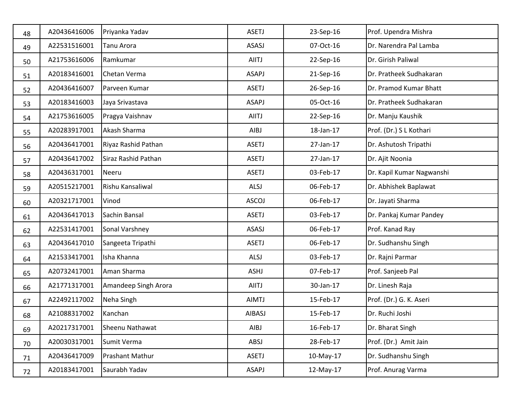| 48 | A20436416006 | Priyanka Yadav       | <b>ASETJ</b> | 23-Sep-16 | Prof. Upendra Mishra      |
|----|--------------|----------------------|--------------|-----------|---------------------------|
| 49 | A22531516001 | Tanu Arora           | ASASJ        | 07-Oct-16 | Dr. Narendra Pal Lamba    |
| 50 | A21753616006 | Ramkumar             | <b>AIITJ</b> | 22-Sep-16 | Dr. Girish Paliwal        |
| 51 | A20183416001 | Chetan Verma         | ASAPJ        | 21-Sep-16 | Dr. Pratheek Sudhakaran   |
| 52 | A20436416007 | Parveen Kumar        | <b>ASETJ</b> | 26-Sep-16 | Dr. Pramod Kumar Bhatt    |
| 53 | A20183416003 | Jaya Srivastava      | <b>ASAPJ</b> | 05-Oct-16 | Dr. Pratheek Sudhakaran   |
| 54 | A21753616005 | Pragya Vaishnav      | <b>AIITJ</b> | 22-Sep-16 | Dr. Manju Kaushik         |
| 55 | A20283917001 | Akash Sharma         | AIBJ         | 18-Jan-17 | Prof. (Dr.) S L Kothari   |
| 56 | A20436417001 | Riyaz Rashid Pathan  | <b>ASETJ</b> | 27-Jan-17 | Dr. Ashutosh Tripathi     |
| 57 | A20436417002 | Siraz Rashid Pathan  | <b>ASETJ</b> | 27-Jan-17 | Dr. Ajit Noonia           |
| 58 | A20436317001 | <b>Neeru</b>         | <b>ASETJ</b> | 03-Feb-17 | Dr. Kapil Kumar Nagwanshi |
| 59 | A20515217001 | Rishu Kansaliwal     | ALSJ         | 06-Feb-17 | Dr. Abhishek Baplawat     |
| 60 | A20321717001 | Vinod                | ASCOJ        | 06-Feb-17 | Dr. Jayati Sharma         |
| 61 | A20436417013 | Sachin Bansal        | <b>ASETJ</b> | 03-Feb-17 | Dr. Pankaj Kumar Pandey   |
| 62 | A22531417001 | Sonal Varshney       | ASASJ        | 06-Feb-17 | Prof. Kanad Ray           |
| 63 | A20436417010 | Sangeeta Tripathi    | <b>ASETJ</b> | 06-Feb-17 | Dr. Sudhanshu Singh       |
| 64 | A21533417001 | Isha Khanna          | ALSJ         | 03-Feb-17 | Dr. Rajni Parmar          |
| 65 | A20732417001 | Aman Sharma          | ASHJ         | 07-Feb-17 | Prof. Sanjeeb Pal         |
| 66 | A21771317001 | Amandeep Singh Arora | <b>AIITJ</b> | 30-Jan-17 | Dr. Linesh Raja           |
| 67 | A22492117002 | Neha Singh           | <b>AIMTJ</b> | 15-Feb-17 | Prof. (Dr.) G. K. Aseri   |
| 68 | A21088317002 | Kanchan              | AIBASJ       | 15-Feb-17 | Dr. Ruchi Joshi           |
| 69 | A20217317001 | Sheenu Nathawat      | AIBJ         | 16-Feb-17 | Dr. Bharat Singh          |
| 70 | A20030317001 | Sumit Verma          | ABSJ         | 28-Feb-17 | Prof. (Dr.) Amit Jain     |
| 71 | A20436417009 | Prashant Mathur      | <b>ASETJ</b> | 10-May-17 | Dr. Sudhanshu Singh       |
| 72 | A20183417001 | Saurabh Yadav        | ASAPJ        | 12-May-17 | Prof. Anurag Varma        |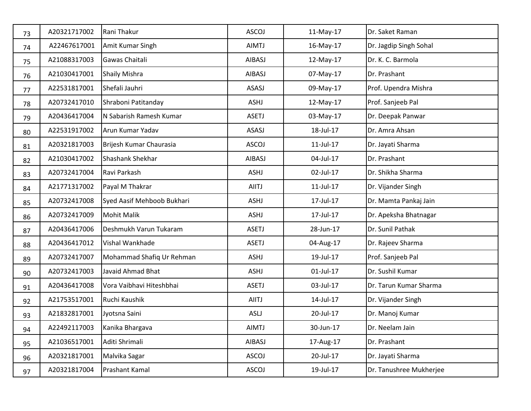| 73 | A20321717002 | Rani Thakur                | ASCOJ        | 11-May-17 | Dr. Saket Raman         |
|----|--------------|----------------------------|--------------|-----------|-------------------------|
| 74 | A22467617001 | Amit Kumar Singh           | <b>AIMTJ</b> | 16-May-17 | Dr. Jagdip Singh Sohal  |
| 75 | A21088317003 | Gawas Chaitali             | AIBASJ       | 12-May-17 | Dr. K. C. Barmola       |
| 76 | A21030417001 | <b>Shaily Mishra</b>       | AIBASJ       | 07-May-17 | Dr. Prashant            |
| 77 | A22531817001 | Shefali Jauhri             | ASASJ        | 09-May-17 | Prof. Upendra Mishra    |
| 78 | A20732417010 | Shraboni Patitanday        | ASHJ         | 12-May-17 | Prof. Sanjeeb Pal       |
| 79 | A20436417004 | N Sabarish Ramesh Kumar    | <b>ASETJ</b> | 03-May-17 | Dr. Deepak Panwar       |
| 80 | A22531917002 | Arun Kumar Yadav           | ASASJ        | 18-Jul-17 | Dr. Amra Ahsan          |
| 81 | A20321817003 | Brijesh Kumar Chaurasia    | <b>ASCOJ</b> | 11-Jul-17 | Dr. Jayati Sharma       |
| 82 | A21030417002 | Shashank Shekhar           | AIBASJ       | 04-Jul-17 | Dr. Prashant            |
| 83 | A20732417004 | Ravi Parkash               | ASHJ         | 02-Jul-17 | Dr. Shikha Sharma       |
| 84 | A21771317002 | Payal M Thakrar            | <b>AIITJ</b> | 11-Jul-17 | Dr. Vijander Singh      |
| 85 | A20732417008 | Syed Aasif Mehboob Bukhari | ASHJ         | 17-Jul-17 | Dr. Mamta Pankaj Jain   |
| 86 | A20732417009 | <b>Mohit Malik</b>         | ASHJ         | 17-Jul-17 | Dr. Apeksha Bhatnagar   |
| 87 | A20436417006 | Deshmukh Varun Tukaram     | <b>ASETJ</b> | 28-Jun-17 | Dr. Sunil Pathak        |
| 88 | A20436417012 | Vishal Wankhade            | <b>ASETJ</b> | 04-Aug-17 | Dr. Rajeev Sharma       |
| 89 | A20732417007 | Mohammad Shafiq Ur Rehman  | ASHJ         | 19-Jul-17 | Prof. Sanjeeb Pal       |
| 90 | A20732417003 | Javaid Ahmad Bhat          | ASHJ         | 01-Jul-17 | Dr. Sushil Kumar        |
| 91 | A20436417008 | Vora Vaibhavi Hiteshbhai   | <b>ASETJ</b> | 03-Jul-17 | Dr. Tarun Kumar Sharma  |
| 92 | A21753517001 | Ruchi Kaushik              | <b>AIITJ</b> | 14-Jul-17 | Dr. Vijander Singh      |
| 93 | A21832817001 | Jyotsna Saini              | ASLJ         | 20-Jul-17 | Dr. Manoj Kumar         |
| 94 | A22492117003 | Kanika Bhargava            | AIMTJ        | 30-Jun-17 | Dr. Neelam Jain         |
| 95 | A21036517001 | Aditi Shrimali             | AIBASJ       | 17-Aug-17 | Dr. Prashant            |
| 96 | A20321817001 | Malvika Sagar              | <b>ASCOJ</b> | 20-Jul-17 | Dr. Jayati Sharma       |
| 97 | A20321817004 | Prashant Kamal             | ASCOJ        | 19-Jul-17 | Dr. Tanushree Mukherjee |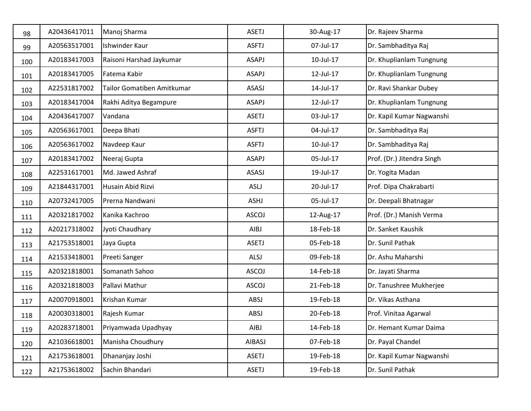| 98  | A20436417011 | Manoj Sharma               | <b>ASETJ</b> | 30-Aug-17 | Dr. Rajeev Sharma          |
|-----|--------------|----------------------------|--------------|-----------|----------------------------|
| 99  | A20563517001 | Ishwinder Kaur             | <b>ASFTJ</b> | 07-Jul-17 | Dr. Sambhaditya Raj        |
| 100 | A20183417003 | Raisoni Harshad Jaykumar   | ASAPJ        | 10-Jul-17 | Dr. Khuplianlam Tungnung   |
| 101 | A20183417005 | Fatema Kabir               | ASAPJ        | 12-Jul-17 | Dr. Khuplianlam Tungnung   |
| 102 | A22531817002 | Tailor Gomatiben Amitkumar | ASASJ        | 14-Jul-17 | Dr. Ravi Shankar Dubey     |
| 103 | A20183417004 | Rakhi Aditya Begampure     | <b>ASAPJ</b> | 12-Jul-17 | Dr. Khuplianlam Tungnung   |
| 104 | A20436417007 | Vandana                    | <b>ASETJ</b> | 03-Jul-17 | Dr. Kapil Kumar Nagwanshi  |
| 105 | A20563617001 | Deepa Bhati                | <b>ASFTJ</b> | 04-Jul-17 | Dr. Sambhaditya Raj        |
| 106 | A20563617002 | Navdeep Kaur               | <b>ASFTJ</b> | 10-Jul-17 | Dr. Sambhaditya Raj        |
| 107 | A20183417002 | Neeraj Gupta               | ASAPJ        | 05-Jul-17 | Prof. (Dr.) Jitendra Singh |
| 108 | A22531617001 | Md. Jawed Ashraf           | ASASJ        | 19-Jul-17 | Dr. Yogita Madan           |
| 109 | A21844317001 | Husain Abid Rizvi          | <b>ASLJ</b>  | 20-Jul-17 | Prof. Dipa Chakrabarti     |
| 110 | A20732417005 | Prerna Nandwani            | ASHJ         | 05-Jul-17 | Dr. Deepali Bhatnagar      |
| 111 | A20321817002 | Kanika Kachroo             | ASCOJ        | 12-Aug-17 | Prof. (Dr.) Manish Verma   |
| 112 | A20217318002 | Jyoti Chaudhary            | AIBJ         | 18-Feb-18 | Dr. Sanket Kaushik         |
| 113 | A21753518001 | Jaya Gupta                 | <b>ASETJ</b> | 05-Feb-18 | Dr. Sunil Pathak           |
| 114 | A21533418001 | Preeti Sanger              | ALSJ         | 09-Feb-18 | Dr. Ashu Maharshi          |
| 115 | A20321818001 | Somanath Sahoo             | <b>ASCOJ</b> | 14-Feb-18 | Dr. Jayati Sharma          |
| 116 | A20321818003 | Pallavi Mathur             | <b>ASCOJ</b> | 21-Feb-18 | Dr. Tanushree Mukherjee    |
| 117 | A20070918001 | Krishan Kumar              | ABSJ         | 19-Feb-18 | Dr. Vikas Asthana          |
| 118 | A20030318001 | Rajesh Kumar               | ABSJ         | 20-Feb-18 | Prof. Vinitaa Agarwal      |
| 119 | A20283718001 | Priyamwada Upadhyay        | AIBJ         | 14-Feb-18 | Dr. Hemant Kumar Daima     |
| 120 | A21036618001 | Manisha Choudhury          | AIBASJ       | 07-Feb-18 | Dr. Payal Chandel          |
| 121 | A21753618001 | Dhananjay Joshi            | <b>ASETJ</b> | 19-Feb-18 | Dr. Kapil Kumar Nagwanshi  |
| 122 | A21753618002 | Sachin Bhandari            | <b>ASETJ</b> | 19-Feb-18 | Dr. Sunil Pathak           |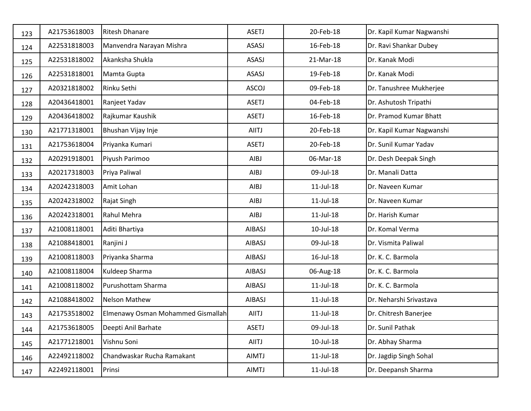| 123 | A21753618003 | <b>Ritesh Dhanare</b>             | <b>ASETJ</b>  | 20-Feb-18       | Dr. Kapil Kumar Nagwanshi |
|-----|--------------|-----------------------------------|---------------|-----------------|---------------------------|
| 124 | A22531818003 | Manvendra Narayan Mishra          | ASASJ         | 16-Feb-18       | Dr. Ravi Shankar Dubey    |
| 125 | A22531818002 | Akanksha Shukla                   | ASASJ         | 21-Mar-18       | Dr. Kanak Modi            |
| 126 | A22531818001 | Mamta Gupta                       | ASASJ         | 19-Feb-18       | Dr. Kanak Modi            |
| 127 | A20321818002 | Rinku Sethi                       | <b>ASCOJ</b>  | 09-Feb-18       | Dr. Tanushree Mukherjee   |
| 128 | A20436418001 | Ranjeet Yadav                     | <b>ASETJ</b>  | 04-Feb-18       | Dr. Ashutosh Tripathi     |
| 129 | A20436418002 | Rajkumar Kaushik                  | <b>ASETJ</b>  | 16-Feb-18       | Dr. Pramod Kumar Bhatt    |
| 130 | A21771318001 | Bhushan Vijay Inje                | AIITJ         | 20-Feb-18       | Dr. Kapil Kumar Nagwanshi |
| 131 | A21753618004 | Priyanka Kumari                   | <b>ASETJ</b>  | 20-Feb-18       | Dr. Sunil Kumar Yadav     |
| 132 | A20291918001 | Piyush Parimoo                    | AIBJ          | 06-Mar-18       | Dr. Desh Deepak Singh     |
| 133 | A20217318003 | Priya Paliwal                     | AIBJ          | 09-Jul-18       | Dr. Manali Datta          |
| 134 | A20242318003 | Amit Lohan                        | AIBJ          | $11$ -Jul- $18$ | Dr. Naveen Kumar          |
| 135 | A20242318002 | Rajat Singh                       | AIBJ          | $11$ -Jul- $18$ | Dr. Naveen Kumar          |
| 136 | A20242318001 | Rahul Mehra                       | AIBJ          | $11$ -Jul- $18$ | Dr. Harish Kumar          |
| 137 | A21008118001 | Aditi Bhartiya                    | AIBASJ        | 10-Jul-18       | Dr. Komal Verma           |
| 138 | A21088418001 | Ranjini J                         | AIBASJ        | 09-Jul-18       | Dr. Vismita Paliwal       |
| 139 | A21008118003 | Priyanka Sharma                   | AIBASJ        | 16-Jul-18       | Dr. K. C. Barmola         |
| 140 | A21008118004 | Kuldeep Sharma                    | AIBASJ        | 06-Aug-18       | Dr. K. C. Barmola         |
| 141 | A21008118002 | Purushottam Sharma                | <b>AIBASJ</b> | $11$ -Jul- $18$ | Dr. K. C. Barmola         |
| 142 | A21088418002 | <b>Nelson Mathew</b>              | <b>AIBASJ</b> | $11$ -Jul- $18$ | Dr. Neharshi Srivastava   |
| 143 | A21753518002 | Elmenawy Osman Mohammed Gismallah | AIITJ         | $11$ -Jul- $18$ | Dr. Chitresh Banerjee     |
| 144 | A21753618005 | Deepti Anil Barhate               | ASETJ         | 09-Jul-18       | Dr. Sunil Pathak          |
| 145 | A21771218001 | Vishnu Soni                       | AIITJ         | $10$ -Jul- $18$ | Dr. Abhay Sharma          |
| 146 | A22492118002 | Chandwaskar Rucha Ramakant        | AIMTJ         | $11$ -Jul- $18$ | Dr. Jagdip Singh Sohal    |
| 147 | A22492118001 | Prinsi                            | AIMTJ         | $11$ -Jul- $18$ | Dr. Deepansh Sharma       |
|     |              |                                   |               |                 |                           |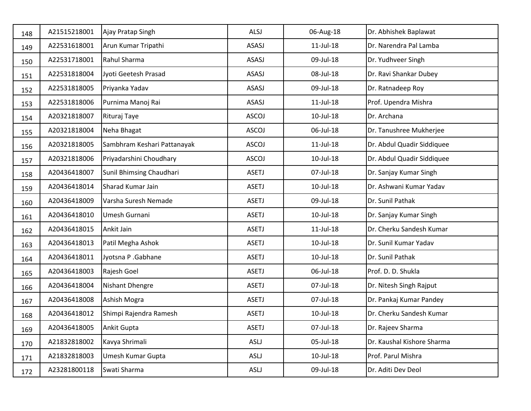| 148 | A21515218001 | Ajay Pratap Singh           | ALSJ         | 06-Aug-18       | Dr. Abhishek Baplawat      |
|-----|--------------|-----------------------------|--------------|-----------------|----------------------------|
| 149 | A22531618001 | Arun Kumar Tripathi         | ASASJ        | $11$ -Jul- $18$ | Dr. Narendra Pal Lamba     |
| 150 | A22531718001 | Rahul Sharma                | ASASJ        | 09-Jul-18       | Dr. Yudhveer Singh         |
| 151 | A22531818004 | Jyoti Geetesh Prasad        | ASASJ        | 08-Jul-18       | Dr. Ravi Shankar Dubey     |
| 152 | A22531818005 | Priyanka Yadav              | ASASJ        | 09-Jul-18       | Dr. Ratnadeep Roy          |
| 153 | A22531818006 | Purnima Manoj Rai           | ASASJ        | $11$ -Jul- $18$ | Prof. Upendra Mishra       |
| 154 | A20321818007 | Rituraj Taye                | ASCOJ        | 10-Jul-18       | Dr. Archana                |
| 155 | A20321818004 | Neha Bhagat                 | ASCOJ        | 06-Jul-18       | Dr. Tanushree Mukherjee    |
| 156 | A20321818005 | Sambhram Keshari Pattanayak | ASCOJ        | $11$ -Jul- $18$ | Dr. Abdul Quadir Siddiquee |
| 157 | A20321818006 | Priyadarshini Choudhary     | ASCOJ        | 10-Jul-18       | Dr. Abdul Quadir Siddiquee |
| 158 | A20436418007 | Sunil Bhimsing Chaudhari    | <b>ASETJ</b> | 07-Jul-18       | Dr. Sanjay Kumar Singh     |
| 159 | A20436418014 | Sharad Kumar Jain           | <b>ASETJ</b> | 10-Jul-18       | Dr. Ashwani Kumar Yadav    |
| 160 | A20436418009 | Varsha Suresh Nemade        | <b>ASETJ</b> | 09-Jul-18       | Dr. Sunil Pathak           |
| 161 | A20436418010 | Umesh Gurnani               | <b>ASETJ</b> | 10-Jul-18       | Dr. Sanjay Kumar Singh     |
| 162 | A20436418015 | Ankit Jain                  | <b>ASETJ</b> | $11$ -Jul- $18$ | Dr. Cherku Sandesh Kumar   |
| 163 | A20436418013 | Patil Megha Ashok           | <b>ASETJ</b> | 10-Jul-18       | Dr. Sunil Kumar Yadav      |
| 164 | A20436418011 | Jyotsna P .Gabhane          | <b>ASETJ</b> | 10-Jul-18       | Dr. Sunil Pathak           |
| 165 | A20436418003 | Rajesh Goel                 | <b>ASETJ</b> | 06-Jul-18       | Prof. D. D. Shukla         |
| 166 | A20436418004 | Nishant Dhengre             | <b>ASETJ</b> | 07-Jul-18       | Dr. Nitesh Singh Rajput    |
| 167 | A20436418008 | Ashish Mogra                | <b>ASETJ</b> | 07-Jul-18       | Dr. Pankaj Kumar Pandey    |
| 168 | A20436418012 | Shimpi Rajendra Ramesh      | <b>ASETJ</b> | 10-Jul-18       | Dr. Cherku Sandesh Kumar   |
| 169 | A20436418005 | Ankit Gupta                 | ASETJ        | 07-Jul-18       | Dr. Rajeev Sharma          |
| 170 | A21832818002 | Kavya Shrimali              | ASLJ         | 05-Jul-18       | Dr. Kaushal Kishore Sharma |
| 171 | A21832818003 | Umesh Kumar Gupta           | ASLJ         | 10-Jul-18       | Prof. Parul Mishra         |
| 172 | A23281800118 | Swati Sharma                | ASLJ         | 09-Jul-18       | Dr. Aditi Dev Deol         |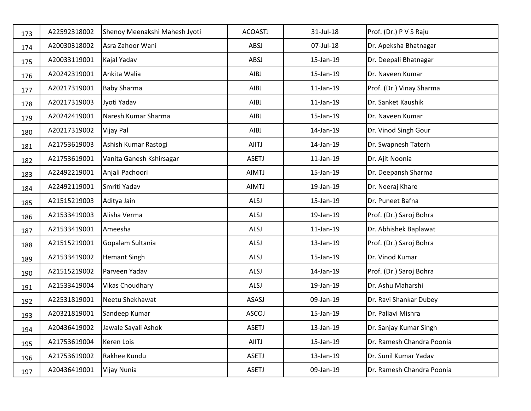| 173 | A22592318002 | Shenoy Meenakshi Mahesh Jyoti | <b>ACOASTJ</b> | 31-Jul-18       | Prof. (Dr.) P V S Raju    |
|-----|--------------|-------------------------------|----------------|-----------------|---------------------------|
| 174 | A20030318002 | Asra Zahoor Wani              | ABSJ           | 07-Jul-18       | Dr. Apeksha Bhatnagar     |
| 175 | A20033119001 | Kajal Yadav                   | ABSJ           | 15-Jan-19       | Dr. Deepali Bhatnagar     |
| 176 | A20242319001 | Ankita Walia                  | AIBJ           | 15-Jan-19       | Dr. Naveen Kumar          |
| 177 | A20217319001 | <b>Baby Sharma</b>            | AIBJ           | $11$ -Jan- $19$ | Prof. (Dr.) Vinay Sharma  |
| 178 | A20217319003 | Jyoti Yadav                   | AIBJ           | $11$ -Jan- $19$ | Dr. Sanket Kaushik        |
| 179 | A20242419001 | Naresh Kumar Sharma           | AIBJ           | 15-Jan-19       | Dr. Naveen Kumar          |
| 180 | A20217319002 | Vijay Pal                     | AIBJ           | 14-Jan-19       | Dr. Vinod Singh Gour      |
| 181 | A21753619003 | Ashish Kumar Rastogi          | <b>AIITJ</b>   | 14-Jan-19       | Dr. Swapnesh Taterh       |
| 182 | A21753619001 | Vanita Ganesh Kshirsagar      | <b>ASETJ</b>   | $11$ -Jan- $19$ | Dr. Ajit Noonia           |
| 183 | A22492219001 | Anjali Pachoori               | <b>AIMTJ</b>   | 15-Jan-19       | Dr. Deepansh Sharma       |
| 184 | A22492119001 | Smriti Yadav                  | <b>AIMTJ</b>   | 19-Jan-19       | Dr. Neeraj Khare          |
| 185 | A21515219003 | Aditya Jain                   | ALSJ           | 15-Jan-19       | Dr. Puneet Bafna          |
| 186 | A21533419003 | Alisha Verma                  | ALSJ           | 19-Jan-19       | Prof. (Dr.) Saroj Bohra   |
| 187 | A21533419001 | Ameesha                       | ALSJ           | $11$ -Jan- $19$ | Dr. Abhishek Baplawat     |
| 188 | A21515219001 | Gopalam Sultania              | ALSJ           | 13-Jan-19       | Prof. (Dr.) Saroj Bohra   |
| 189 | A21533419002 | <b>Hemant Singh</b>           | ALSJ           | 15-Jan-19       | Dr. Vinod Kumar           |
| 190 | A21515219002 | Parveen Yadav                 | ALSJ           | 14-Jan-19       | Prof. (Dr.) Saroj Bohra   |
| 191 | A21533419004 | <b>Vikas Choudhary</b>        | ALSJ           | 19-Jan-19       | Dr. Ashu Maharshi         |
| 192 | A22531819001 | Neetu Shekhawat               | ASASJ          | 09-Jan-19       | Dr. Ravi Shankar Dubey    |
| 193 | A20321819001 | Sandeep Kumar                 | <b>ASCOJ</b>   | 15-Jan-19       | Dr. Pallavi Mishra        |
| 194 | A20436419002 | Jawale Sayali Ashok           | ASETJ          | 13-Jan-19       | Dr. Sanjay Kumar Singh    |
| 195 | A21753619004 | Keren Lois                    | AIITJ          | 15-Jan-19       | Dr. Ramesh Chandra Poonia |
| 196 | A21753619002 | Rakhee Kundu                  | <b>ASETJ</b>   | 13-Jan-19       | Dr. Sunil Kumar Yadav     |
| 197 | A20436419001 | Vijay Nunia                   | <b>ASETJ</b>   | 09-Jan-19       | Dr. Ramesh Chandra Poonia |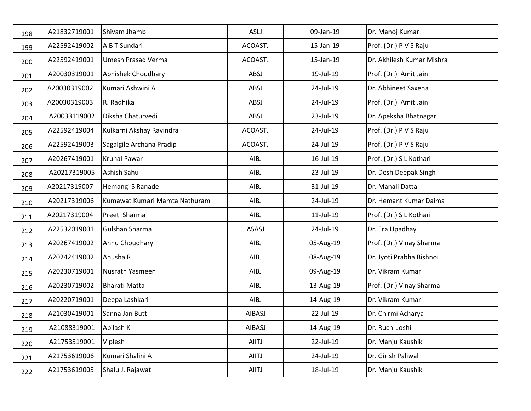| 198 | A21832719001 | Shivam Jhamb                  | ASLJ           | 09-Jan-19    | Dr. Manoj Kumar           |
|-----|--------------|-------------------------------|----------------|--------------|---------------------------|
| 199 | A22592419002 | A B T Sundari                 | <b>ACOASTJ</b> | 15-Jan-19    | Prof. (Dr.) P V S Raju    |
| 200 | A22592419001 | <b>Umesh Prasad Verma</b>     | <b>ACOASTJ</b> | 15-Jan-19    | Dr. Akhilesh Kumar Mishra |
| 201 | A20030319001 | Abhishek Choudhary            | ABSJ           | 19-Jul-19    | Prof. (Dr.) Amit Jain     |
| 202 | A20030319002 | Kumari Ashwini A              | ABSJ           | 24-Jul-19    | Dr. Abhineet Saxena       |
| 203 | A20030319003 | R. Radhika                    | ABSJ           | 24-Jul-19    | Prof. (Dr.) Amit Jain     |
| 204 | A20033119002 | Diksha Chaturvedi             | ABSJ           | 23-Jul-19    | Dr. Apeksha Bhatnagar     |
| 205 | A22592419004 | Kulkarni Akshay Ravindra      | <b>ACOASTJ</b> | 24-Jul-19    | Prof. (Dr.) P V S Raju    |
| 206 | A22592419003 | Sagalgile Archana Pradip      | <b>ACOASTJ</b> | 24-Jul-19    | Prof. (Dr.) P V S Raju    |
| 207 | A20267419001 | Krunal Pawar                  | AIBJ           | 16-Jul-19    | Prof. (Dr.) S L Kothari   |
| 208 | A20217319005 | Ashish Sahu                   | AIBJ           | 23-Jul-19    | Dr. Desh Deepak Singh     |
| 209 | A20217319007 | Hemangi S Ranade              | AIBJ           | 31-Jul-19    | Dr. Manali Datta          |
| 210 | A20217319006 | Kumawat Kumari Mamta Nathuram | AIBJ           | 24-Jul-19    | Dr. Hemant Kumar Daima    |
| 211 | A20217319004 | Preeti Sharma                 | AIBJ           | $11$ -Jul-19 | Prof. (Dr.) S L Kothari   |
| 212 | A22532019001 | Gulshan Sharma                | ASASJ          | 24-Jul-19    | Dr. Era Upadhay           |
| 213 | A20267419002 | Annu Choudhary                | AIBJ           | 05-Aug-19    | Prof. (Dr.) Vinay Sharma  |
| 214 | A20242419002 | Anusha R                      | AIBJ           | 08-Aug-19    | Dr. Jyoti Prabha Bishnoi  |
| 215 | A20230719001 | Nusrath Yasmeen               | AIBJ           | 09-Aug-19    | Dr. Vikram Kumar          |
| 216 | A20230719002 | <b>Bharati Matta</b>          | AIBJ           | 13-Aug-19    | Prof. (Dr.) Vinay Sharma  |
| 217 | A20220719001 | Deepa Lashkari                | AIBJ           | 14-Aug-19    | Dr. Vikram Kumar          |
| 218 | A21030419001 | Sanna Jan Butt                | <b>AIBASJ</b>  | 22-Jul-19    | Dr. Chirmi Acharya        |
| 219 | A21088319001 | Abilash K                     | AIBASJ         | 14-Aug-19    | Dr. Ruchi Joshi           |
| 220 | A21753519001 | Viplesh                       | AIITJ          | 22-Jul-19    | Dr. Manju Kaushik         |
| 221 | A21753619006 | Kumari Shalini A              | AIITJ          | 24-Jul-19    | Dr. Girish Paliwal        |
| 222 | A21753619005 | Shalu J. Rajawat              | AIITJ          | 18-Jul-19    | Dr. Manju Kaushik         |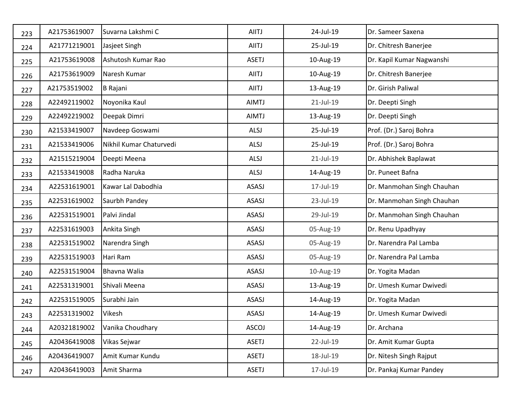| 223 | A21753619007 | Suvarna Lakshmi C       | AIITJ        | 24-Jul-19    | Dr. Sameer Saxena          |
|-----|--------------|-------------------------|--------------|--------------|----------------------------|
| 224 | A21771219001 | Jasjeet Singh           | AIITJ        | 25-Jul-19    | Dr. Chitresh Banerjee      |
| 225 | A21753619008 | Ashutosh Kumar Rao      | <b>ASETJ</b> | 10-Aug-19    | Dr. Kapil Kumar Nagwanshi  |
| 226 | A21753619009 | Naresh Kumar            | AIITJ        | 10-Aug-19    | Dr. Chitresh Banerjee      |
| 227 | A21753519002 | <b>B</b> Rajani         | AIITJ        | 13-Aug-19    | Dr. Girish Paliwal         |
| 228 | A22492119002 | Noyonika Kaul           | <b>AIMTJ</b> | $21$ -Jul-19 | Dr. Deepti Singh           |
| 229 | A22492219002 | Deepak Dimri            | <b>AIMTJ</b> | 13-Aug-19    | Dr. Deepti Singh           |
| 230 | A21533419007 | Navdeep Goswami         | ALSJ         | 25-Jul-19    | Prof. (Dr.) Saroj Bohra    |
| 231 | A21533419006 | Nikhil Kumar Chaturvedi | ALSJ         | 25-Jul-19    | Prof. (Dr.) Saroj Bohra    |
| 232 | A21515219004 | Deepti Meena            | ALSJ         | $21$ -Jul-19 | Dr. Abhishek Baplawat      |
| 233 | A21533419008 | Radha Naruka            | ALSJ         | 14-Aug-19    | Dr. Puneet Bafna           |
| 234 | A22531619001 | Kawar Lal Dabodhia      | ASASJ        | 17-Jul-19    | Dr. Manmohan Singh Chauhan |
| 235 | A22531619002 | Saurbh Pandey           | ASASJ        | 23-Jul-19    | Dr. Manmohan Singh Chauhan |
| 236 | A22531519001 | Palvi Jindal            | ASASJ        | 29-Jul-19    | Dr. Manmohan Singh Chauhan |
| 237 | A22531619003 | Ankita Singh            | ASASJ        | 05-Aug-19    | Dr. Renu Upadhyay          |
| 238 | A22531519002 | Narendra Singh          | ASASJ        | 05-Aug-19    | Dr. Narendra Pal Lamba     |
| 239 | A22531519003 | Hari Ram                | ASASJ        | 05-Aug-19    | Dr. Narendra Pal Lamba     |
| 240 | A22531519004 | Bhavna Walia            | ASASJ        | 10-Aug-19    | Dr. Yogita Madan           |
| 241 | A22531319001 | Shivali Meena           | ASASJ        | 13-Aug-19    | Dr. Umesh Kumar Dwivedi    |
| 242 | A22531519005 | Surabhi Jain            | ASASJ        | 14-Aug-19    | Dr. Yogita Madan           |
| 243 | A22531319002 | Vikesh                  | ASASJ        | 14-Aug-19    | Dr. Umesh Kumar Dwivedi    |
| 244 | A20321819002 | Vanika Choudhary        | <b>ASCOJ</b> | 14-Aug-19    | Dr. Archana                |
| 245 | A20436419008 | Vikas Sejwar            | <b>ASETJ</b> | 22-Jul-19    | Dr. Amit Kumar Gupta       |
| 246 | A20436419007 | Amit Kumar Kundu        | <b>ASETJ</b> | 18-Jul-19    | Dr. Nitesh Singh Rajput    |
| 247 | A20436419003 | Amit Sharma             | <b>ASETJ</b> | 17-Jul-19    | Dr. Pankaj Kumar Pandey    |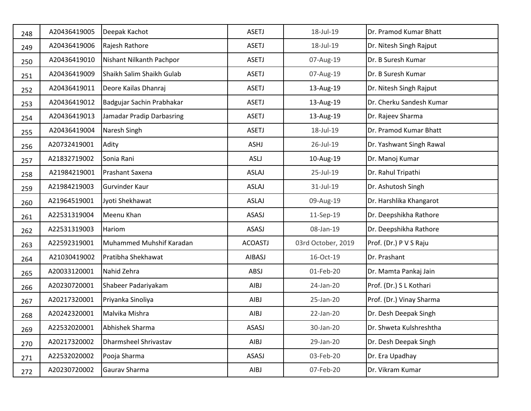| 248 | A20436419005 | Deepak Kachot             | <b>ASETJ</b>   | 18-Jul-19          | Dr. Pramod Kumar Bhatt   |
|-----|--------------|---------------------------|----------------|--------------------|--------------------------|
| 249 | A20436419006 | Rajesh Rathore            | <b>ASETJ</b>   | 18-Jul-19          | Dr. Nitesh Singh Rajput  |
| 250 | A20436419010 | Nishant Nilkanth Pachpor  | <b>ASETJ</b>   | 07-Aug-19          | Dr. B Suresh Kumar       |
| 251 | A20436419009 | Shaikh Salim Shaikh Gulab | <b>ASETJ</b>   | 07-Aug-19          | Dr. B Suresh Kumar       |
| 252 | A20436419011 | Deore Kailas Dhanraj      | <b>ASETJ</b>   | 13-Aug-19          | Dr. Nitesh Singh Rajput  |
| 253 | A20436419012 | Badgujar Sachin Prabhakar | <b>ASETJ</b>   | 13-Aug-19          | Dr. Cherku Sandesh Kumar |
| 254 | A20436419013 | Jamadar Pradip Darbasring | <b>ASETJ</b>   | 13-Aug-19          | Dr. Rajeev Sharma        |
| 255 | A20436419004 | Naresh Singh              | <b>ASETJ</b>   | 18-Jul-19          | Dr. Pramod Kumar Bhatt   |
| 256 | A20732419001 | Adity                     | ASHJ           | 26-Jul-19          | Dr. Yashwant Singh Rawal |
| 257 | A21832719002 | Sonia Rani                | <b>ASLJ</b>    | 10-Aug-19          | Dr. Manoj Kumar          |
| 258 | A21984219001 | Prashant Saxena           | ASLAJ          | 25-Jul-19          | Dr. Rahul Tripathi       |
| 259 | A21984219003 | Gurvinder Kaur            | <b>ASLAJ</b>   | 31-Jul-19          | Dr. Ashutosh Singh       |
| 260 | A21964519001 | Jyoti Shekhawat           | ASLAJ          | 09-Aug-19          | Dr. Harshlika Khangarot  |
| 261 | A22531319004 | Meenu Khan                | ASASJ          | 11-Sep-19          | Dr. Deepshikha Rathore   |
| 262 | A22531319003 | Hariom                    | ASASJ          | 08-Jan-19          | Dr. Deepshikha Rathore   |
| 263 | A22592319001 | Muhammed Muhshif Karadan  | <b>ACOASTJ</b> | 03rd October, 2019 | Prof. (Dr.) P V S Raju   |
| 264 | A21030419002 | Pratibha Shekhawat        | AIBASJ         | 16-Oct-19          | Dr. Prashant             |
| 265 | A20033120001 | Nahid Zehra               | ABSJ           | 01-Feb-20          | Dr. Mamta Pankaj Jain    |
| 266 | A20230720001 | Shabeer Padariyakam       | AIBJ           | 24-Jan-20          | Prof. (Dr.) S L Kothari  |
| 267 | A20217320001 | Priyanka Sinoliya         | AIBJ           | 25-Jan-20          | Prof. (Dr.) Vinay Sharma |
| 268 | A20242320001 | Malvika Mishra            | AIBJ           | 22-Jan-20          | Dr. Desh Deepak Singh    |
| 269 | A22532020001 | Abhishek Sharma           | ASASJ          | 30-Jan-20          | Dr. Shweta Kulshreshtha  |
| 270 | A20217320002 | Dharmsheel Shrivastav     | AIBJ           | 29-Jan-20          | Dr. Desh Deepak Singh    |
| 271 | A22532020002 | Pooja Sharma              | ASASJ          | 03-Feb-20          | Dr. Era Upadhay          |
| 272 | A20230720002 | Gaurav Sharma             | AIBJ           | 07-Feb-20          | Dr. Vikram Kumar         |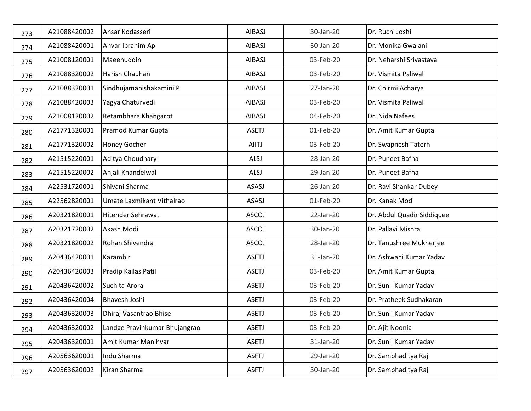| 273 | A21088420002 | Ansar Kodasseri               | AIBASJ       | 30-Jan-20 | Dr. Ruchi Joshi            |
|-----|--------------|-------------------------------|--------------|-----------|----------------------------|
| 274 | A21088420001 | Anvar Ibrahim Ap              | AIBASJ       | 30-Jan-20 | Dr. Monika Gwalani         |
| 275 | A21008120001 | Maeenuddin                    | AIBASJ       | 03-Feb-20 | Dr. Neharshi Srivastava    |
| 276 | A21088320002 | Harish Chauhan                | AIBASJ       | 03-Feb-20 | Dr. Vismita Paliwal        |
| 277 | A21088320001 | Sindhujamanishakamini P       | AIBASJ       | 27-Jan-20 | Dr. Chirmi Acharya         |
| 278 | A21088420003 | Yagya Chaturvedi              | AIBASJ       | 03-Feb-20 | Dr. Vismita Paliwal        |
| 279 | A21008120002 | Retambhara Khangarot          | AIBASJ       | 04-Feb-20 | Dr. Nida Nafees            |
| 280 | A21771320001 | Pramod Kumar Gupta            | <b>ASETJ</b> | 01-Feb-20 | Dr. Amit Kumar Gupta       |
| 281 | A21771320002 | Honey Gocher                  | AIITJ        | 03-Feb-20 | Dr. Swapnesh Taterh        |
| 282 | A21515220001 | Aditya Choudhary              | ALSJ         | 28-Jan-20 | Dr. Puneet Bafna           |
| 283 | A21515220002 | Anjali Khandelwal             | ALSJ         | 29-Jan-20 | Dr. Puneet Bafna           |
| 284 | A22531720001 | Shivani Sharma                | ASASJ        | 26-Jan-20 | Dr. Ravi Shankar Dubey     |
| 285 | A22562820001 | Umate Laxmikant Vithalrao     | ASASJ        | 01-Feb-20 | Dr. Kanak Modi             |
| 286 | A20321820001 | <b>Hitender Sehrawat</b>      | <b>ASCOJ</b> | 22-Jan-20 | Dr. Abdul Quadir Siddiquee |
| 287 | A20321720002 | Akash Modi                    | <b>ASCOJ</b> | 30-Jan-20 | Dr. Pallavi Mishra         |
| 288 | A20321820002 | Rohan Shivendra               | <b>ASCOJ</b> | 28-Jan-20 | Dr. Tanushree Mukherjee    |
| 289 | A20436420001 | Karambir                      | <b>ASETJ</b> | 31-Jan-20 | Dr. Ashwani Kumar Yadav    |
| 290 | A20436420003 | Pradip Kailas Patil           | <b>ASETJ</b> | 03-Feb-20 | Dr. Amit Kumar Gupta       |
| 291 | A20436420002 | Suchita Arora                 | <b>ASETJ</b> | 03-Feb-20 | Dr. Sunil Kumar Yadav      |
| 292 | A20436420004 | Bhavesh Joshi                 | <b>ASETJ</b> | 03-Feb-20 | Dr. Pratheek Sudhakaran    |
| 293 | A20436320003 | Dhiraj Vasantrao Bhise        | <b>ASETJ</b> | 03-Feb-20 | Dr. Sunil Kumar Yadav      |
| 294 | A20436320002 | Landge Pravinkumar Bhujangrao | ASETJ        | 03-Feb-20 | Dr. Ajit Noonia            |
| 295 | A20436320001 | Amit Kumar Manjhvar           | <b>ASETJ</b> | 31-Jan-20 | Dr. Sunil Kumar Yadav      |
| 296 | A20563620001 | Indu Sharma                   | <b>ASFTJ</b> | 29-Jan-20 | Dr. Sambhaditya Raj        |
| 297 | A20563620002 | Kiran Sharma                  | <b>ASFTJ</b> | 30-Jan-20 | Dr. Sambhaditya Raj        |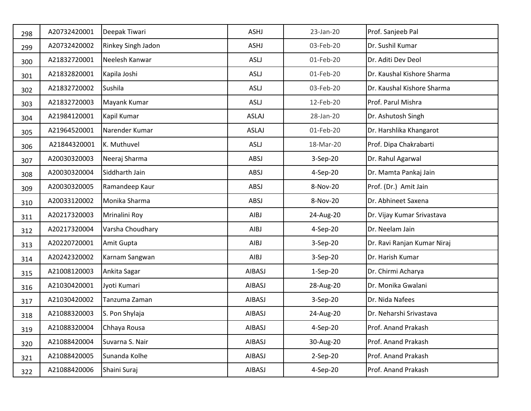| 298 | A20732420001 | Deepak Tiwari      | ASHJ          | 23-Jan-20  | Prof. Sanjeeb Pal           |
|-----|--------------|--------------------|---------------|------------|-----------------------------|
| 299 | A20732420002 | Rinkey Singh Jadon | ASHJ          | 03-Feb-20  | Dr. Sushil Kumar            |
| 300 | A21832720001 | Neelesh Kanwar     | ASLJ          | 01-Feb-20  | Dr. Aditi Dev Deol          |
| 301 | A21832820001 | Kapila Joshi       | <b>ASLJ</b>   | 01-Feb-20  | Dr. Kaushal Kishore Sharma  |
| 302 | A21832720002 | Sushila            | <b>ASLJ</b>   | 03-Feb-20  | Dr. Kaushal Kishore Sharma  |
| 303 | A21832720003 | Mayank Kumar       | <b>ASLJ</b>   | 12-Feb-20  | Prof. Parul Mishra          |
| 304 | A21984120001 | Kapil Kumar        | <b>ASLAJ</b>  | 28-Jan-20  | Dr. Ashutosh Singh          |
| 305 | A21964520001 | Narender Kumar     | <b>ASLAJ</b>  | 01-Feb-20  | Dr. Harshlika Khangarot     |
| 306 | A21844320001 | K. Muthuvel        | ASLJ          | 18-Mar-20  | Prof. Dipa Chakrabarti      |
| 307 | A20030320003 | Neeraj Sharma      | ABSJ          | 3-Sep-20   | Dr. Rahul Agarwal           |
| 308 | A20030320004 | Siddharth Jain     | ABSJ          | 4-Sep-20   | Dr. Mamta Pankaj Jain       |
| 309 | A20030320005 | Ramandeep Kaur     | ABSJ          | 8-Nov-20   | Prof. (Dr.) Amit Jain       |
| 310 | A20033120002 | Monika Sharma      | ABSJ          | 8-Nov-20   | Dr. Abhineet Saxena         |
| 311 | A20217320003 | Mrinalini Roy      | AIBJ          | 24-Aug-20  | Dr. Vijay Kumar Srivastava  |
| 312 | A20217320004 | Varsha Choudhary   | AIBJ          | 4-Sep-20   | Dr. Neelam Jain             |
| 313 | A20220720001 | Amit Gupta         | AIBJ          | 3-Sep-20   | Dr. Ravi Ranjan Kumar Niraj |
| 314 | A20242320002 | Karnam Sangwan     | AIBJ          | 3-Sep-20   | Dr. Harish Kumar            |
| 315 | A21008120003 | Ankita Sagar       | AIBASJ        | $1-Sep-20$ | Dr. Chirmi Acharya          |
| 316 | A21030420001 | Jyoti Kumari       | <b>AIBASJ</b> | 28-Aug-20  | Dr. Monika Gwalani          |
| 317 | A21030420002 | Tanzuma Zaman      | AIBASJ        | 3-Sep-20   | Dr. Nida Nafees             |
| 318 | A21088320003 | S. Pon Shylaja     | AIBASJ        | 24-Aug-20  | Dr. Neharshi Srivastava     |
| 319 | A21088320004 | Chhaya Rousa       | AIBASJ        | $4-Sep-20$ | Prof. Anand Prakash         |
| 320 | A21088420004 | Suvarna S. Nair    | AIBASJ        | 30-Aug-20  | Prof. Anand Prakash         |
| 321 | A21088420005 | Sunanda Kolhe      | AIBASJ        | 2-Sep-20   | Prof. Anand Prakash         |
| 322 | A21088420006 | Shaini Suraj       | AIBASJ        | 4-Sep-20   | Prof. Anand Prakash         |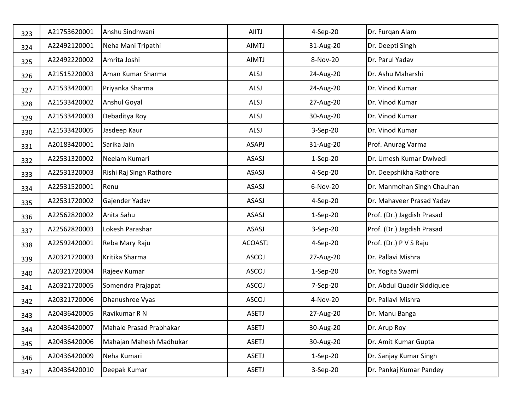| 323 | A21753620001 | Anshu Sindhwani         | AIITJ          | 4-Sep-20   | Dr. Furqan Alam            |
|-----|--------------|-------------------------|----------------|------------|----------------------------|
| 324 | A22492120001 | Neha Mani Tripathi      | AIMTJ          | 31-Aug-20  | Dr. Deepti Singh           |
| 325 | A22492220002 | Amrita Joshi            | <b>AIMTJ</b>   | 8-Nov-20   | Dr. Parul Yadav            |
| 326 | A21515220003 | Aman Kumar Sharma       | ALSJ           | 24-Aug-20  | Dr. Ashu Maharshi          |
| 327 | A21533420001 | Priyanka Sharma         | ALSJ           | 24-Aug-20  | Dr. Vinod Kumar            |
| 328 | A21533420002 | Anshul Goyal            | ALSJ           | 27-Aug-20  | Dr. Vinod Kumar            |
| 329 | A21533420003 | Debaditya Roy           | ALSJ           | 30-Aug-20  | Dr. Vinod Kumar            |
| 330 | A21533420005 | Jasdeep Kaur            | ALSJ           | 3-Sep-20   | Dr. Vinod Kumar            |
| 331 | A20183420001 | Sarika Jain             | ASAPJ          | 31-Aug-20  | Prof. Anurag Varma         |
| 332 | A22531320002 | Neelam Kumari           | ASASJ          | $1-Sep-20$ | Dr. Umesh Kumar Dwivedi    |
| 333 | A22531320003 | Rishi Raj Singh Rathore | ASASJ          | 4-Sep-20   | Dr. Deepshikha Rathore     |
| 334 | A22531520001 | Renu                    | ASASJ          | 6-Nov-20   | Dr. Manmohan Singh Chauhan |
| 335 | A22531720002 | Gajender Yadav          | ASASJ          | 4-Sep-20   | Dr. Mahaveer Prasad Yadav  |
| 336 | A22562820002 | Anita Sahu              | ASASJ          | $1-Sep-20$ | Prof. (Dr.) Jagdish Prasad |
| 337 | A22562820003 | Lokesh Parashar         | ASASJ          | 3-Sep-20   | Prof. (Dr.) Jagdish Prasad |
| 338 | A22592420001 | Reba Mary Raju          | <b>ACOASTJ</b> | 4-Sep-20   | Prof. (Dr.) P V S Raju     |
| 339 | A20321720003 | Kritika Sharma          | ASCOJ          | 27-Aug-20  | Dr. Pallavi Mishra         |
| 340 | A20321720004 | Rajeev Kumar            | <b>ASCOJ</b>   | $1-Sep-20$ | Dr. Yogita Swami           |
| 341 | A20321720005 | Somendra Prajapat       | <b>ASCOJ</b>   | 7-Sep-20   | Dr. Abdul Quadir Siddiquee |
| 342 | A20321720006 | Dhanushree Vyas         | <b>ASCOJ</b>   | 4-Nov-20   | Dr. Pallavi Mishra         |
| 343 | A20436420005 | Ravikumar R N           | <b>ASETJ</b>   | 27-Aug-20  | Dr. Manu Banga             |
| 344 | A20436420007 | Mahale Prasad Prabhakar | ASETJ          | 30-Aug-20  | Dr. Arup Roy               |
| 345 | A20436420006 | Mahajan Mahesh Madhukar | <b>ASETJ</b>   | 30-Aug-20  | Dr. Amit Kumar Gupta       |
| 346 | A20436420009 | Neha Kumari             | <b>ASETJ</b>   | $1-Sep-20$ | Dr. Sanjay Kumar Singh     |
| 347 | A20436420010 | Deepak Kumar            | <b>ASETJ</b>   | 3-Sep-20   | Dr. Pankaj Kumar Pandey    |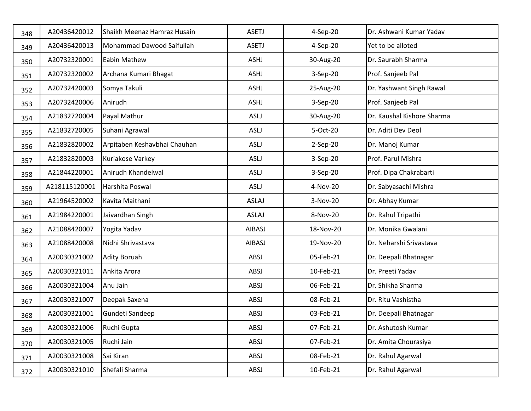| 348 | A20436420012  | Shaikh Meenaz Hamraz Husain  | <b>ASETJ</b> | 4-Sep-20  | Dr. Ashwani Kumar Yadav    |
|-----|---------------|------------------------------|--------------|-----------|----------------------------|
| 349 | A20436420013  | Mohammad Dawood Saifullah    | <b>ASETJ</b> | 4-Sep-20  | Yet to be alloted          |
| 350 | A20732320001  | Eabin Mathew                 | ASHJ         | 30-Aug-20 | Dr. Saurabh Sharma         |
| 351 | A20732320002  | Archana Kumari Bhagat        | ASHJ         | 3-Sep-20  | Prof. Sanjeeb Pal          |
| 352 | A20732420003  | Somya Takuli                 | ASHJ         | 25-Aug-20 | Dr. Yashwant Singh Rawal   |
| 353 | A20732420006  | Anirudh                      | ASHJ         | 3-Sep-20  | Prof. Sanjeeb Pal          |
| 354 | A21832720004  | Payal Mathur                 | ASLJ         | 30-Aug-20 | Dr. Kaushal Kishore Sharma |
| 355 | A21832720005  | Suhani Agrawal               | ASLJ         | 5-Oct-20  | Dr. Aditi Dev Deol         |
| 356 | A21832820002  | Arpitaben Keshavbhai Chauhan | ASLJ         | 2-Sep-20  | Dr. Manoj Kumar            |
| 357 | A21832820003  | Kuriakose Varkey             | ASLJ         | 3-Sep-20  | Prof. Parul Mishra         |
| 358 | A21844220001  | Anirudh Khandelwal           | <b>ASLJ</b>  | 3-Sep-20  | Prof. Dipa Chakrabarti     |
| 359 | A218115120001 | Harshita Poswal              | ASLJ         | 4-Nov-20  | Dr. Sabyasachi Mishra      |
| 360 | A21964520002  | Kavita Maithani              | <b>ASLAJ</b> | 3-Nov-20  | Dr. Abhay Kumar            |
| 361 | A21984220001  | Jaivardhan Singh             | <b>ASLAJ</b> | 8-Nov-20  | Dr. Rahul Tripathi         |
| 362 | A21088420007  | Yogita Yadav                 | AIBASJ       | 18-Nov-20 | Dr. Monika Gwalani         |
| 363 | A21088420008  | Nidhi Shrivastava            | AIBASJ       | 19-Nov-20 | Dr. Neharshi Srivastava    |
| 364 | A20030321002  | Adity Boruah                 | ABSJ         | 05-Feb-21 | Dr. Deepali Bhatnagar      |
| 365 | A20030321011  | Ankita Arora                 | ABSJ         | 10-Feb-21 | Dr. Preeti Yadav           |
| 366 | A20030321004  | Anu Jain                     | ABSJ         | 06-Feb-21 | Dr. Shikha Sharma          |
| 367 | A20030321007  | Deepak Saxena                | ABSJ         | 08-Feb-21 | Dr. Ritu Vashistha         |
| 368 | A20030321001  | Gundeti Sandeep              | ABSJ         | 03-Feb-21 | Dr. Deepali Bhatnagar      |
| 369 | A20030321006  | Ruchi Gupta                  | ABSJ         | 07-Feb-21 | Dr. Ashutosh Kumar         |
| 370 | A20030321005  | Ruchi Jain                   | ABSJ         | 07-Feb-21 | Dr. Amita Chourasiya       |
| 371 | A20030321008  | Sai Kiran                    | ABSJ         | 08-Feb-21 | Dr. Rahul Agarwal          |
| 372 | A20030321010  | Shefali Sharma               | ABSJ         | 10-Feb-21 | Dr. Rahul Agarwal          |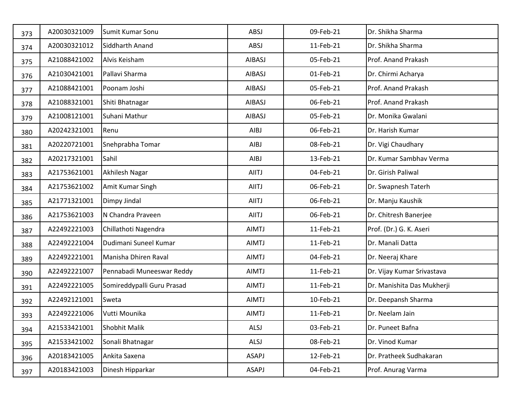| 373 | A20030321009 | Sumit Kumar Sonu           | ABSJ         | 09-Feb-21 | Dr. Shikha Sharma          |
|-----|--------------|----------------------------|--------------|-----------|----------------------------|
| 374 | A20030321012 | Siddharth Anand            | ABSJ         | 11-Feb-21 | Dr. Shikha Sharma          |
| 375 | A21088421002 | Alvis Keisham              | AIBASJ       | 05-Feb-21 | Prof. Anand Prakash        |
| 376 | A21030421001 | Pallavi Sharma             | AIBASJ       | 01-Feb-21 | Dr. Chirmi Acharya         |
| 377 | A21088421001 | Poonam Joshi               | AIBASJ       | 05-Feb-21 | Prof. Anand Prakash        |
| 378 | A21088321001 | Shiti Bhatnagar            | AIBASJ       | 06-Feb-21 | Prof. Anand Prakash        |
| 379 | A21008121001 | Suhani Mathur              | AIBASJ       | 05-Feb-21 | Dr. Monika Gwalani         |
| 380 | A20242321001 | Renu                       | AIBJ         | 06-Feb-21 | Dr. Harish Kumar           |
| 381 | A20220721001 | Snehprabha Tomar           | AIBJ         | 08-Feb-21 | Dr. Vigi Chaudhary         |
| 382 | A20217321001 | Sahil                      | AIBJ         | 13-Feb-21 | Dr. Kumar Sambhav Verma    |
| 383 | A21753621001 | Akhilesh Nagar             | AIITJ        | 04-Feb-21 | Dr. Girish Paliwal         |
| 384 | A21753621002 | Amit Kumar Singh           | <b>AIITJ</b> | 06-Feb-21 | Dr. Swapnesh Taterh        |
| 385 | A21771321001 | Dimpy Jindal               | AIITJ        | 06-Feb-21 | Dr. Manju Kaushik          |
| 386 | A21753621003 | N Chandra Praveen          | <b>AIITJ</b> | 06-Feb-21 | Dr. Chitresh Banerjee      |
| 387 | A22492221003 | Chillathoti Nagendra       | <b>AIMTJ</b> | 11-Feb-21 | Prof. (Dr.) G. K. Aseri    |
| 388 | A22492221004 | Dudimani Suneel Kumar      | <b>AIMTJ</b> | 11-Feb-21 | Dr. Manali Datta           |
| 389 | A22492221001 | Manisha Dhiren Raval       | <b>AIMTJ</b> | 04-Feb-21 | Dr. Neeraj Khare           |
| 390 | A22492221007 | Pennabadi Muneeswar Reddy  | <b>AIMTJ</b> | 11-Feb-21 | Dr. Vijay Kumar Srivastava |
| 391 | A22492221005 | Somireddypalli Guru Prasad | <b>AIMTJ</b> | 11-Feb-21 | Dr. Manishita Das Mukherji |
| 392 | A22492121001 | Sweta                      | <b>AIMTJ</b> | 10-Feb-21 | Dr. Deepansh Sharma        |
| 393 | A22492221006 | Vutti Mounika              | <b>AIMTJ</b> | 11-Feb-21 | Dr. Neelam Jain            |
| 394 | A21533421001 | <b>Shobhit Malik</b>       | ALSJ         | 03-Feb-21 | Dr. Puneet Bafna           |
| 395 | A21533421002 | Sonali Bhatnagar           | ALSJ         | 08-Feb-21 | Dr. Vinod Kumar            |
| 396 | A20183421005 | Ankita Saxena              | ASAPJ        | 12-Feb-21 | Dr. Pratheek Sudhakaran    |
| 397 | A20183421003 | Dinesh Hipparkar           | ASAPJ        | 04-Feb-21 | Prof. Anurag Varma         |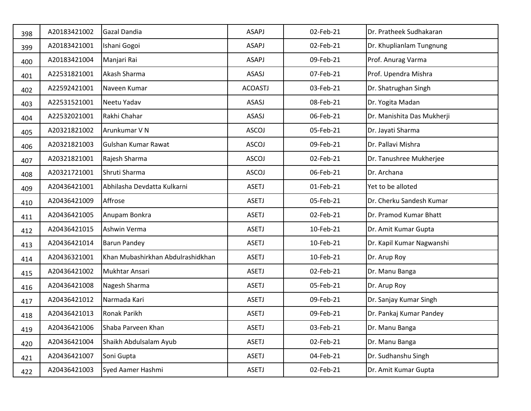| 398 | A20183421002 | <b>Gazal Dandia</b>               | ASAPJ          | 02-Feb-21 | Dr. Pratheek Sudhakaran    |
|-----|--------------|-----------------------------------|----------------|-----------|----------------------------|
| 399 | A20183421001 | Ishani Gogoi                      | ASAPJ          | 02-Feb-21 | Dr. Khuplianlam Tungnung   |
| 400 | A20183421004 | Manjari Rai                       | ASAPJ          | 09-Feb-21 | Prof. Anurag Varma         |
| 401 | A22531821001 | Akash Sharma                      | ASASJ          | 07-Feb-21 | Prof. Upendra Mishra       |
| 402 | A22592421001 | Naveen Kumar                      | <b>ACOASTJ</b> | 03-Feb-21 | Dr. Shatrughan Singh       |
| 403 | A22531521001 | Neetu Yadav                       | ASASJ          | 08-Feb-21 | Dr. Yogita Madan           |
| 404 | A22532021001 | Rakhi Chahar                      | ASASJ          | 06-Feb-21 | Dr. Manishita Das Mukherji |
| 405 | A20321821002 | Arunkumar V N                     | <b>ASCOJ</b>   | 05-Feb-21 | Dr. Jayati Sharma          |
| 406 | A20321821003 | Gulshan Kumar Rawat               | <b>ASCOJ</b>   | 09-Feb-21 | Dr. Pallavi Mishra         |
| 407 | A20321821001 | Rajesh Sharma                     | <b>ASCOJ</b>   | 02-Feb-21 | Dr. Tanushree Mukherjee    |
| 408 | A20321721001 | Shruti Sharma                     | <b>ASCOJ</b>   | 06-Feb-21 | Dr. Archana                |
| 409 | A20436421001 | Abhilasha Devdatta Kulkarni       | <b>ASETJ</b>   | 01-Feb-21 | Yet to be alloted          |
| 410 | A20436421009 | Affrose                           | <b>ASETJ</b>   | 05-Feb-21 | Dr. Cherku Sandesh Kumar   |
| 411 | A20436421005 | Anupam Bonkra                     | <b>ASETJ</b>   | 02-Feb-21 | Dr. Pramod Kumar Bhatt     |
| 412 | A20436421015 | Ashwin Verma                      | <b>ASETJ</b>   | 10-Feb-21 | Dr. Amit Kumar Gupta       |
| 413 | A20436421014 | <b>Barun Pandey</b>               | <b>ASETJ</b>   | 10-Feb-21 | Dr. Kapil Kumar Nagwanshi  |
| 414 | A20436321001 | Khan Mubashirkhan Abdulrashidkhan | <b>ASETJ</b>   | 10-Feb-21 | Dr. Arup Roy               |
| 415 | A20436421002 | Mukhtar Ansari                    | <b>ASETJ</b>   | 02-Feb-21 | Dr. Manu Banga             |
| 416 | A20436421008 | Nagesh Sharma                     | <b>ASETJ</b>   | 05-Feb-21 | Dr. Arup Roy               |
| 417 | A20436421012 | Narmada Kari                      | <b>ASETJ</b>   | 09-Feb-21 | Dr. Sanjay Kumar Singh     |
| 418 | A20436421013 | Ronak Parikh                      | <b>ASETJ</b>   | 09-Feb-21 | Dr. Pankaj Kumar Pandey    |
| 419 | A20436421006 | Shaba Parveen Khan                | ASETJ          | 03-Feb-21 | Dr. Manu Banga             |
| 420 | A20436421004 | Shaikh Abdulsalam Ayub            | <b>ASETJ</b>   | 02-Feb-21 | Dr. Manu Banga             |
| 421 | A20436421007 | Soni Gupta                        | <b>ASETJ</b>   | 04-Feb-21 | Dr. Sudhanshu Singh        |
| 422 | A20436421003 | Syed Aamer Hashmi                 | <b>ASETJ</b>   | 02-Feb-21 | Dr. Amit Kumar Gupta       |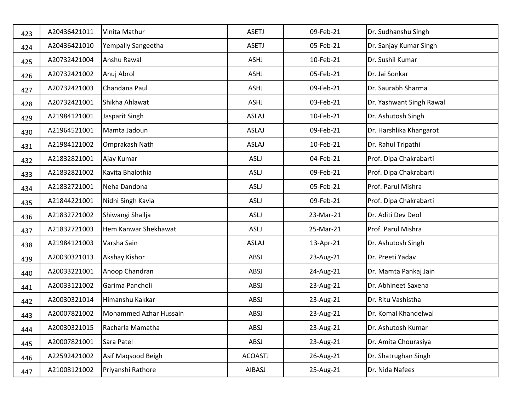| 423 | A20436421011 | Vinita Mathur          | <b>ASETJ</b>   | 09-Feb-21 | Dr. Sudhanshu Singh      |
|-----|--------------|------------------------|----------------|-----------|--------------------------|
| 424 | A20436421010 | Yempally Sangeetha     | <b>ASETJ</b>   | 05-Feb-21 | Dr. Sanjay Kumar Singh   |
| 425 | A20732421004 | Anshu Rawal            | ASHJ           | 10-Feb-21 | Dr. Sushil Kumar         |
| 426 | A20732421002 | Anuj Abrol             | ASHJ           | 05-Feb-21 | Dr. Jai Sonkar           |
| 427 | A20732421003 | Chandana Paul          | ASHJ           | 09-Feb-21 | Dr. Saurabh Sharma       |
| 428 | A20732421001 | Shikha Ahlawat         | ASHJ           | 03-Feb-21 | Dr. Yashwant Singh Rawal |
| 429 | A21984121001 | Jasparit Singh         | <b>ASLAJ</b>   | 10-Feb-21 | Dr. Ashutosh Singh       |
| 430 | A21964521001 | Mamta Jadoun           | <b>ASLAJ</b>   | 09-Feb-21 | Dr. Harshlika Khangarot  |
| 431 | A21984121002 | Omprakash Nath         | <b>ASLAJ</b>   | 10-Feb-21 | Dr. Rahul Tripathi       |
| 432 | A21832821001 | Ajay Kumar             | <b>ASLJ</b>    | 04-Feb-21 | Prof. Dipa Chakrabarti   |
| 433 | A21832821002 | Kavita Bhalothia       | ASLJ           | 09-Feb-21 | Prof. Dipa Chakrabarti   |
| 434 | A21832721001 | Neha Dandona           | <b>ASLJ</b>    | 05-Feb-21 | Prof. Parul Mishra       |
| 435 | A21844221001 | Nidhi Singh Kavia      | <b>ASLJ</b>    | 09-Feb-21 | Prof. Dipa Chakrabarti   |
| 436 | A21832721002 | Shiwangi Shailja       | <b>ASLJ</b>    | 23-Mar-21 | Dr. Aditi Dev Deol       |
| 437 | A21832721003 | Hem Kanwar Shekhawat   | ASLJ           | 25-Mar-21 | Prof. Parul Mishra       |
| 438 | A21984121003 | Varsha Sain            | <b>ASLAJ</b>   | 13-Apr-21 | Dr. Ashutosh Singh       |
| 439 | A20030321013 | Akshay Kishor          | ABSJ           | 23-Aug-21 | Dr. Preeti Yadav         |
| 440 | A20033221001 | Anoop Chandran         | ABSJ           | 24-Aug-21 | Dr. Mamta Pankaj Jain    |
| 441 | A20033121002 | Garima Pancholi        | ABSJ           | 23-Aug-21 | Dr. Abhineet Saxena      |
| 442 | A20030321014 | Himanshu Kakkar        | ABSJ           | 23-Aug-21 | Dr. Ritu Vashistha       |
| 443 | A20007821002 | Mohammed Azhar Hussain | ABSJ           | 23-Aug-21 | Dr. Komal Khandelwal     |
| 444 | A20030321015 | Racharla Mamatha       | ABSJ           | 23-Aug-21 | Dr. Ashutosh Kumar       |
| 445 | A20007821001 | Sara Patel             | ABSJ           | 23-Aug-21 | Dr. Amita Chourasiya     |
| 446 | A22592421002 | Asif Magsood Beigh     | <b>ACOASTJ</b> | 26-Aug-21 | Dr. Shatrughan Singh     |
| 447 | A21008121002 | Priyanshi Rathore      | AIBASJ         | 25-Aug-21 | Dr. Nida Nafees          |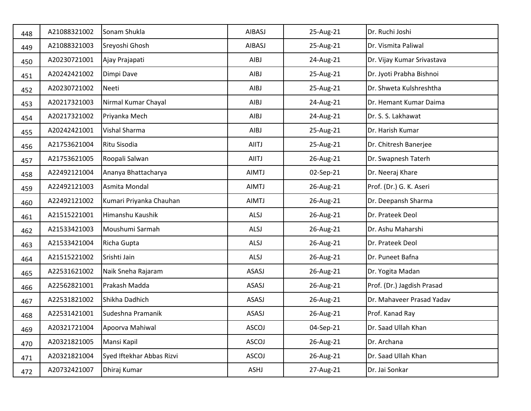| 448 | A21088321002 | Sonam Shukla              | AIBASJ       | 25-Aug-21 | Dr. Ruchi Joshi            |
|-----|--------------|---------------------------|--------------|-----------|----------------------------|
| 449 | A21088321003 | Sreyoshi Ghosh            | AIBASJ       | 25-Aug-21 | Dr. Vismita Paliwal        |
| 450 | A20230721001 | Ajay Prajapati            | AIBJ         | 24-Aug-21 | Dr. Vijay Kumar Srivastava |
| 451 | A20242421002 | Dimpi Dave                | AIBJ         | 25-Aug-21 | Dr. Jyoti Prabha Bishnoi   |
| 452 | A20230721002 | Neeti                     | AIBJ         | 25-Aug-21 | Dr. Shweta Kulshreshtha    |
| 453 | A20217321003 | Nirmal Kumar Chayal       | AIBJ         | 24-Aug-21 | Dr. Hemant Kumar Daima     |
| 454 | A20217321002 | Priyanka Mech             | AIBJ         | 24-Aug-21 | Dr. S. S. Lakhawat         |
| 455 | A20242421001 | Vishal Sharma             | AIBJ         | 25-Aug-21 | Dr. Harish Kumar           |
| 456 | A21753621004 | Ritu Sisodia              | <b>AIITJ</b> | 25-Aug-21 | Dr. Chitresh Banerjee      |
| 457 | A21753621005 | Roopali Salwan            | <b>AIITJ</b> | 26-Aug-21 | Dr. Swapnesh Taterh        |
| 458 | A22492121004 | Ananya Bhattacharya       | <b>AIMTJ</b> | 02-Sep-21 | Dr. Neeraj Khare           |
| 459 | A22492121003 | Asmita Mondal             | <b>AIMTJ</b> | 26-Aug-21 | Prof. (Dr.) G. K. Aseri    |
| 460 | A22492121002 | Kumari Priyanka Chauhan   | AIMTJ        | 26-Aug-21 | Dr. Deepansh Sharma        |
| 461 | A21515221001 | Himanshu Kaushik          | ALSJ         | 26-Aug-21 | Dr. Prateek Deol           |
| 462 | A21533421003 | Moushumi Sarmah           | ALSJ         | 26-Aug-21 | Dr. Ashu Maharshi          |
| 463 | A21533421004 | Richa Gupta               | ALSJ         | 26-Aug-21 | Dr. Prateek Deol           |
| 464 | A21515221002 | Srishti Jain              | ALSJ         | 26-Aug-21 | Dr. Puneet Bafna           |
| 465 | A22531621002 | Naik Sneha Rajaram        | ASASJ        | 26-Aug-21 | Dr. Yogita Madan           |
| 466 | A22562821001 | Prakash Madda             | ASASJ        | 26-Aug-21 | Prof. (Dr.) Jagdish Prasad |
| 467 | A22531821002 | Shikha Dadhich            | ASASJ        | 26-Aug-21 | Dr. Mahaveer Prasad Yadav  |
| 468 | A22531421001 | Sudeshna Pramanik         | ASASJ        | 26-Aug-21 | Prof. Kanad Ray            |
| 469 | A20321721004 | Apoorva Mahiwal           | <b>ASCOJ</b> | 04-Sep-21 | Dr. Saad Ullah Khan        |
| 470 | A20321821005 | Mansi Kapil               | ASCOJ        | 26-Aug-21 | Dr. Archana                |
| 471 | A20321821004 | Syed Iftekhar Abbas Rizvi | ASCOJ        | 26-Aug-21 | Dr. Saad Ullah Khan        |
| 472 | A20732421007 | Dhiraj Kumar              | ASHJ         | 27-Aug-21 | Dr. Jai Sonkar             |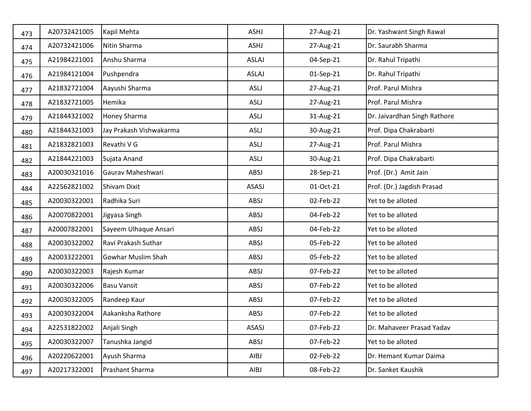| 473 | A20732421005 | Kapil Mehta             | ASHJ         | 27-Aug-21 | Dr. Yashwant Singh Rawal     |
|-----|--------------|-------------------------|--------------|-----------|------------------------------|
| 474 | A20732421006 | Nitin Sharma            | ASHJ         | 27-Aug-21 | Dr. Saurabh Sharma           |
| 475 | A21984221001 | Anshu Sharma            | <b>ASLAJ</b> | 04-Sep-21 | Dr. Rahul Tripathi           |
| 476 | A21984121004 | Pushpendra              | <b>ASLAJ</b> | 01-Sep-21 | Dr. Rahul Tripathi           |
| 477 | A21832721004 | Aayushi Sharma          | ASLJ         | 27-Aug-21 | Prof. Parul Mishra           |
| 478 | A21832721005 | Hemika                  | <b>ASLJ</b>  | 27-Aug-21 | Prof. Parul Mishra           |
| 479 | A21844321002 | Honey Sharma            | ASLJ         | 31-Aug-21 | Dr. Jaivardhan Singh Rathore |
| 480 | A21844321003 | Jay Prakash Vishwakarma | <b>ASLJ</b>  | 30-Aug-21 | Prof. Dipa Chakrabarti       |
| 481 | A21832821003 | Revathi V G             | ASLJ         | 27-Aug-21 | Prof. Parul Mishra           |
| 482 | A21844221003 | Sujata Anand            | <b>ASLJ</b>  | 30-Aug-21 | Prof. Dipa Chakrabarti       |
| 483 | A20030321016 | Gaurav Maheshwari       | ABSJ         | 28-Sep-21 | Prof. (Dr.) Amit Jain        |
| 484 | A22562821002 | Shivam Dixit            | ASASJ        | 01-Oct-21 | Prof. (Dr.) Jagdish Prasad   |
| 485 | A20030322001 | Radhika Suri            | ABSJ         | 02-Feb-22 | Yet to be alloted            |
| 486 | A20070822001 | Jigyasa Singh           | ABSJ         | 04-Feb-22 | Yet to be alloted            |
| 487 | A20007822001 | Sayeem Ulhaque Ansari   | ABSJ         | 04-Feb-22 | Yet to be alloted            |
| 488 | A20030322002 | Ravi Prakash Suthar     | ABSJ         | 05-Feb-22 | Yet to be alloted            |
| 489 | A20033222001 | Gowhar Muslim Shah      | ABSJ         | 05-Feb-22 | Yet to be alloted            |
| 490 | A20030322003 | Rajesh Kumar            | ABSJ         | 07-Feb-22 | Yet to be alloted            |
| 491 | A20030322006 | <b>Basu Vansit</b>      | ABSJ         | 07-Feb-22 | Yet to be alloted            |
| 492 | A20030322005 | Randeep Kaur            | ABSJ         | 07-Feb-22 | Yet to be alloted            |
| 493 | A20030322004 | Aakanksha Rathore       | ABSJ         | 07-Feb-22 | Yet to be alloted            |
| 494 | A22531822002 | Anjali Singh            | ASASJ        | 07-Feb-22 | Dr. Mahaveer Prasad Yadav    |
| 495 | A20030322007 | Tanushka Jangid         | ABSJ         | 07-Feb-22 | Yet to be alloted            |
| 496 | A20220622001 | Ayush Sharma            | AIBJ         | 02-Feb-22 | Dr. Hemant Kumar Daima       |
| 497 | A20217322001 | Prashant Sharma         | AIBJ         | 08-Feb-22 | Dr. Sanket Kaushik           |